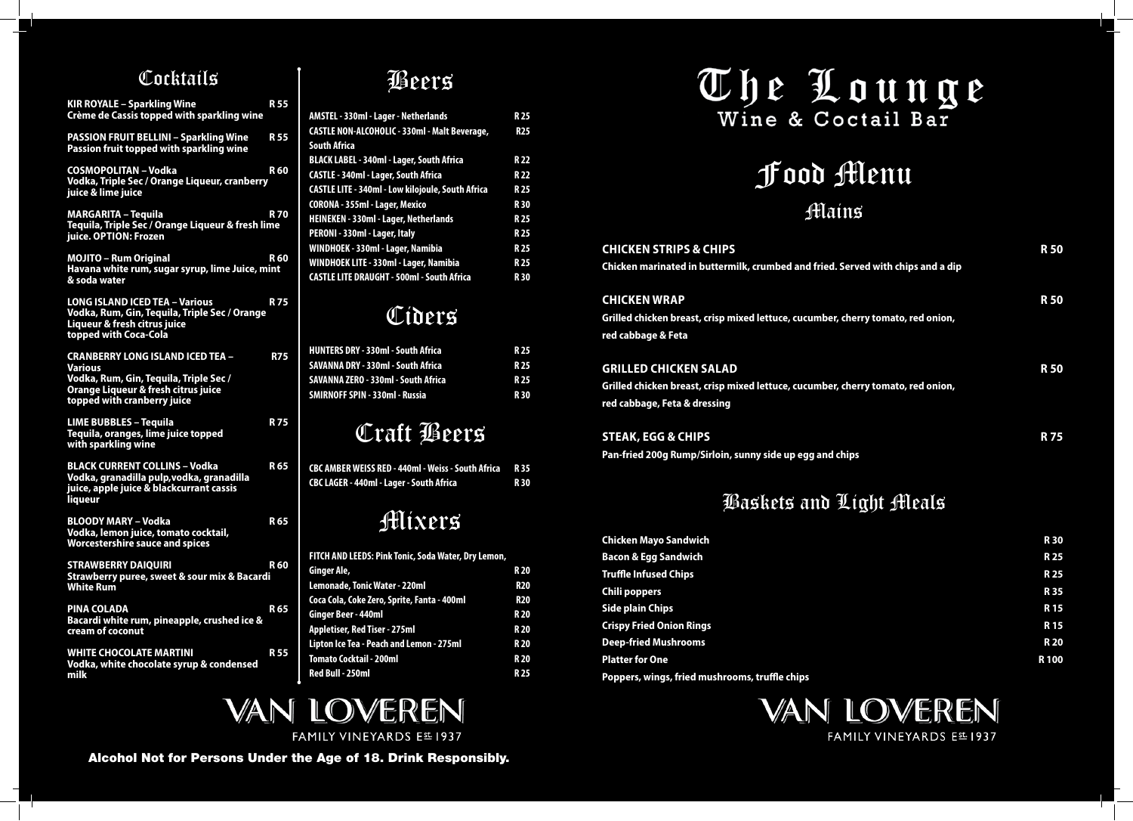# Food Menu Mains

| d fried. Served with chips and a dip | K JU       |
|--------------------------------------|------------|
| umber, cherry tomato, red onion,     | <b>R50</b> |
| umber, cherry tomato, red onion,     | <b>R50</b> |
|                                      | R          |



**Grilled chicken breast, crisp mixed lettuce, cuci red cabbage & Feta**

### **GRILLED CHICKEN SALAD**

**Grilled chicken breast, crisp mixed lettuce, cuct red cabbage, Feta & dressing**

### **STEAK, EGG & CHIPS**

**Pan-fried 200g Rump/Sirloin, sunny side up egg and chips**

# Baskets and Light Meals

| <b>Chicken Mayo Sandwich</b>                   | <b>R30</b>  |
|------------------------------------------------|-------------|
| <b>Bacon &amp; Egg Sandwich</b>                | <b>R25</b>  |
| <b>Truffle Infused Chips</b>                   | <b>R25</b>  |
| <b>Chili poppers</b>                           | <b>R35</b>  |
| Side plain Chips                               | <b>R15</b>  |
| <b>Crispy Fried Onion Rings</b>                | <b>R15</b>  |
| <b>Deep-fried Mushrooms</b>                    | <b>R20</b>  |
| <b>Platter for One</b>                         | <b>R100</b> |
| Poppers, wings, fried mushrooms, truffle chips |             |



### Cocktails

| <b>KIR ROYALE - Sparkling Wine</b><br><b>Crème de Cassis topped with sparkling wine</b>                                                         | <b>R55</b>      |
|-------------------------------------------------------------------------------------------------------------------------------------------------|-----------------|
| <b>PASSION FRUIT BELLINI - Sparkling Wine</b><br>Passion fruit topped with sparkling wine                                                       | <b>R55</b>      |
| <b>COSMOPOLITAN - Vodka</b><br>Vodka, Triple Sec / Orange Liqueur, cranberry<br>juice & lime juice                                              | <b>R60</b>      |
| <b>MARGARITA - Tequila</b><br>Tequila, Triple Sec / Orange Liqueur & fresh lime<br>juice. OPTION: Frozen                                        | <b>R70</b>      |
| <b>MOJITO - Rum Original</b><br>Havana white rum, sugar syrup, lime Juice, mint<br>& soda water                                                 | <b>R60</b>      |
| <b>LONG ISLAND ICED TEA - Various</b><br>Vodka, Rum, Gin, Tequila, Triple Sec / Orange<br>Liqueur & fresh citrus juice<br>topped with Coca-Cola | <b>R75</b>      |
| <b>CRANBERRY LONG ISLAND ICED TEA -</b>                                                                                                         | <b>R75</b>      |
| <b>Various</b><br>Vodka, Rum, Gin, Tequila, Triple Sec /<br>Orange Liqueur & fresh citrus juice<br>topped with cranberry juice                  |                 |
| <b>LIME BUBBLES - Tequila</b><br>Tequila, oranges, lime juice topped<br>with sparkling wine                                                     | <b>R75</b>      |
| <b>BLACK CURRENT COLLINS - Vodka</b><br>Vodka, granadilla pulp, vodka, granadilla<br>juice, apple juice & blackcurrant cassis<br><i>liqueur</i> | <b>R65</b>      |
| <b>BLOODY MARY - Vodka</b><br>Vodka, lemon juice, tomato cocktail,<br><b>Worcestershire sauce and spices</b>                                    | R <sub>65</sub> |
| <b>STRAWBERRY DAIQUIRI</b><br><b>Strawberry puree, sweet &amp; sour mix &amp; Bacardi</b><br><b>White Rum</b>                                   | <b>R60</b>      |
| <b>PINA COLADA</b><br>Bacardi white rum, pineapple, crushed ice &<br>cream of coconut                                                           | <b>R65</b>      |
| <b>WHITE CHOCOLATE MARTINI</b><br>Vodka, white chocolate syrup & condensed<br>milk                                                              | <b>R55</b>      |
|                                                                                                                                                 |                 |

# Beers

| AMSTEL - 330ml - Lager - Netherlands                     | <b>R25</b> |
|----------------------------------------------------------|------------|
| <b>CASTLE NON-ALCOHOLIC - 330ml - Malt Beverage,</b>     | <b>R25</b> |
| <b>South Africa</b>                                      |            |
| <b>BLACK LABEL - 340ml - Lager, South Africa</b>         | <b>R22</b> |
| <b>CASTLE - 340ml - Lager, South Africa</b>              | <b>R22</b> |
| <b>CASTLE LITE - 340ml - Low kilojoule, South Africa</b> | <b>R25</b> |
| CORONA - 355ml - Lager, Mexico                           | <b>R30</b> |
| <b>HEINEKEN - 330ml - Lager, Netherlands</b>             | <b>R25</b> |
| PERONI - 330ml - Lager, Italy                            | <b>R25</b> |
| WINDHOEK - 330ml - Lager, Namibia                        | <b>R25</b> |
| WINDHOEK LITE - 330ml - Lager, Namibia                   | <b>R25</b> |
| <b>CASTLE LITE DRAUGHT - 500ml - South Africa</b>        | <b>R30</b> |

# Ciders

| <b>HUNTERS DRY - 330ml - South Africa</b>  | R 25 |
|--------------------------------------------|------|
| SAVANNA DRY - 330ml - South Africa         | R 25 |
| <b>SAVANNA ZERO - 330ml - South Africa</b> | R 25 |
| <b>SMIRNOFF SPIN - 330ml - Russia</b>      | R 30 |

# Craft Beers

| CBC AMBER WEISS RED - 440ml - Weiss - South Africa R 35 |      |
|---------------------------------------------------------|------|
| CBC LAGER - 440ml - Lager - South Africa                | R 30 |

# Mixers

| FITCH AND LEEDS: Pink Tonic, Soda Water, Dry Lemon, |            |
|-----------------------------------------------------|------------|
| Ginger Ale,                                         | <b>R20</b> |
| <b>Lemonade, Tonic Water - 220ml</b>                | <b>R20</b> |
| Coca Cola, Coke Zero, Sprite, Fanta - 400ml         | <b>R20</b> |
| Ginger Beer - 440ml                                 | <b>R20</b> |
| <b>Appletiser, Red Tiser - 275ml</b>                | <b>R20</b> |
| Lipton Ice Tea - Peach and Lemon - 275ml            | <b>R20</b> |
| <b>Tomato Cocktail - 200ml</b>                      | <b>R20</b> |
| Red Bull - 250ml                                    | <b>R25</b> |



FAMILY VINEYARDS Est 1937

Alcohol Not for Persons Under the Age of 18. Drink Responsibly.

# The Lounge

### **CHICKEN STRIPS & CHIPS**

**Chicken marinated in buttermilk, crumbed and** 

### **CHICKEN WRAP**